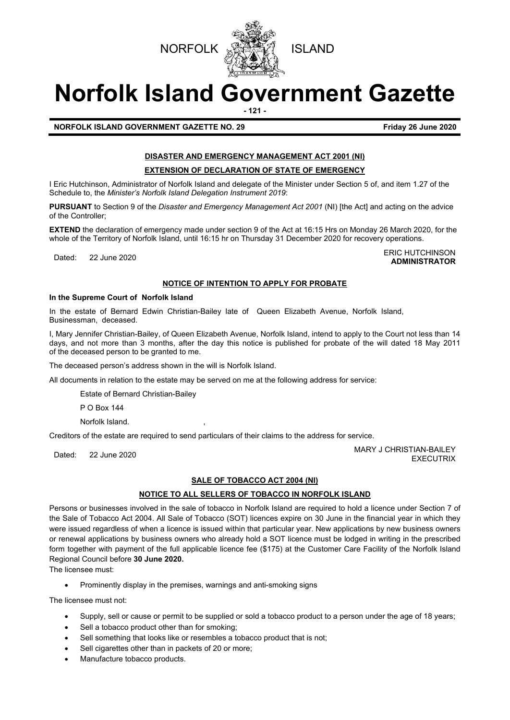

# **Norfolk Island Government Gazette**

**- 121 -**

**NORFOLK ISLAND GOVERNMENT GAZETTE NO. 29 Friday 26 June 2020**

# **DISASTER AND EMERGENCY MANAGEMENT ACT 2001 (NI)**

#### **EXTENSION OF DECLARATION OF STATE OF EMERGENCY**

I Eric Hutchinson, Administrator of Norfolk Island and delegate of the Minister under Section 5 of, and item 1.27 of the Schedule to, the *Minister's Norfolk Island Delegation Instrument 2019*:

**PURSUANT** to Section 9 of the *Disaster and Emergency Management Act 2001* (NI) [the Act] and acting on the advice of the Controller;

**EXTEND** the declaration of emergency made under section 9 of the Act at 16:15 Hrs on Monday 26 March 2020, for the whole of the Territory of Norfolk Island, until 16:15 hr on Thursday 31 December 2020 for recovery operations.

Dated: 22 June 2020<br>Dated: 22 June 2020 **ADMINISTRATOR**

# **NOTICE OF INTENTION TO APPLY FOR PROBATE**

#### **In the Supreme Court of Norfolk Island**

In the estate of Bernard Edwin Christian-Bailey late of Queen Elizabeth Avenue, Norfolk Island, Businessman, deceased.

I, Mary Jennifer Christian-Bailey, of Queen Elizabeth Avenue, Norfolk Island, intend to apply to the Court not less than 14 days, and not more than 3 months, after the day this notice is published for probate of the will dated 18 May 2011 of the deceased person to be granted to me.

The deceased person's address shown in the will is Norfolk Island.

All documents in relation to the estate may be served on me at the following address for service:

Estate of Bernard Christian-Bailey

P O Box 144

Norfolk Island.

Creditors of the estate are required to send particulars of their claims to the address for service.

Dated: 22 June 2020 20 MARY J CHRISTIAN-BAILEY EXECUTRIX

# **SALE OF TOBACCO ACT 2004 (NI)**

# **NOTICE TO ALL SELLERS OF TOBACCO IN NORFOLK ISLAND**

Persons or businesses involved in the sale of tobacco in Norfolk Island are required to hold a licence under Section 7 of the Sale of Tobacco Act 2004. All Sale of Tobacco (SOT) licences expire on 30 June in the financial year in which they were issued regardless of when a licence is issued within that particular year. New applications by new business owners or renewal applications by business owners who already hold a SOT licence must be lodged in writing in the prescribed form together with payment of the full applicable licence fee (\$175) at the Customer Care Facility of the Norfolk Island Regional Council before **30 June 2020.**

The licensee must:

• Prominently display in the premises, warnings and anti-smoking signs

The licensee must not:

- Supply, sell or cause or permit to be supplied or sold a tobacco product to a person under the age of 18 years;
- Sell a tobacco product other than for smoking;
- Sell something that looks like or resembles a tobacco product that is not;
- Sell cigarettes other than in packets of 20 or more;
- Manufacture tobacco products.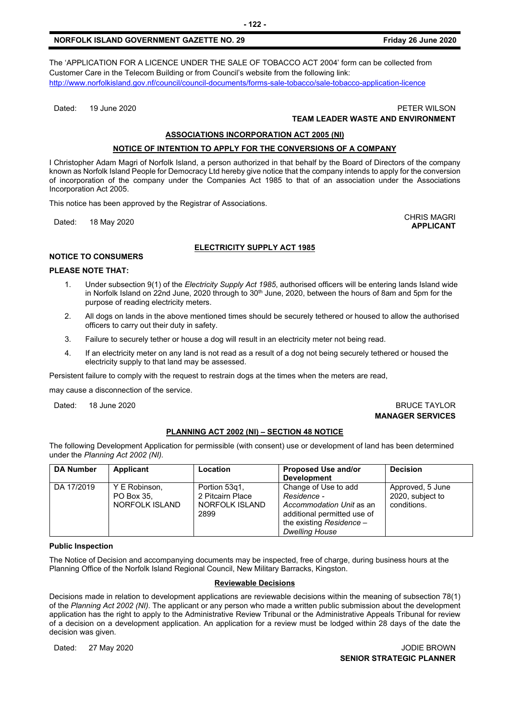# **NORFOLK ISLAND GOVERNMENT GAZETTE NO. 29 Friday 26 June 2020**

The 'APPLICATION FOR A LICENCE UNDER THE SALE OF TOBACCO ACT 2004' form can be collected from Customer Care in the Telecom Building or from Council's website from the following link: <http://www.norfolkisland.gov.nf/council/council-documents/forms-sale-tobacco/sale-tobacco-application-licence>

Dated: 19 June 2020 PETER WILSON

# **TEAM LEADER WASTE AND ENVIRONMENT**

# **ASSOCIATIONS INCORPORATION ACT 2005 (NI)**

# **NOTICE OF INTENTION TO APPLY FOR THE CONVERSIONS OF A COMPANY**

I Christopher Adam Magri of Norfolk Island, a person authorized in that behalf by the Board of Directors of the company known as Norfolk Island People for Democracy Ltd hereby give notice that the company intends to apply for the conversion of incorporation of the company under the Companies Act 1985 to that of an association under the Associations Incorporation Act 2005.

This notice has been approved by the Registrar of Associations.

Dated: 18 May 2020 CHRIS MAGRI

#### **ELECTRICITY SUPPLY ACT 1985**

# **NOTICE TO CONSUMERS**

#### **PLEASE NOTE THAT:**

- 1. Under subsection 9(1) of the *Electricity Supply Act 1985*, authorised officers will be entering lands Island wide in Norfolk Island on 22nd June, 2020 through to 30<sup>th</sup> June, 2020, between the hours of 8am and 5pm for the purpose of reading electricity meters.
- 2. All dogs on lands in the above mentioned times should be securely tethered or housed to allow the authorised officers to carry out their duty in safety.
- 3. Failure to securely tether or house a dog will result in an electricity meter not being read.
- 4. If an electricity meter on any land is not read as a result of a dog not being securely tethered or housed the electricity supply to that land may be assessed.

Persistent failure to comply with the request to restrain dogs at the times when the meters are read,

may cause a disconnection of the service.

Dated: 18 June 2020 **BRUCE TAYLOR** 

# **MANAGER SERVICES**

# **PLANNING ACT 2002 (NI) – SECTION 48 NOTICE**

The following Development Application for permissible (with consent) use or development of land has been determined under the *Planning Act 2002 (NI).*

| <b>DA Number</b> | Applicant                                     | <b>Location</b>                                             | <b>Proposed Use and/or</b><br><b>Development</b>                                                                                                      | <b>Decision</b>                                     |
|------------------|-----------------------------------------------|-------------------------------------------------------------|-------------------------------------------------------------------------------------------------------------------------------------------------------|-----------------------------------------------------|
| DA 17/2019       | Y E Robinson,<br>PO Box 35.<br>NORFOLK ISLAND | Portion 53g1,<br>2 Pitcairn Place<br>NORFOLK ISLAND<br>2899 | Change of Use to add<br>Residence -<br>Accommodation Unit as an<br>additional permitted use of<br>the existing Residence $-$<br><b>Dwelling House</b> | Approved, 5 June<br>2020, subject to<br>conditions. |

#### **Public Inspection**

The Notice of Decision and accompanying documents may be inspected, free of charge, during business hours at the Planning Office of the Norfolk Island Regional Council, New Military Barracks, Kingston.

#### **Reviewable Decisions**

Decisions made in relation to development applications are reviewable decisions within the meaning of subsection 78(1) of the *Planning Act 2002 (NI).* The applicant or any person who made a written public submission about the development application has the right to apply to the Administrative Review Tribunal or the Administrative Appeals Tribunal for review of a decision on a development application. An application for a review must be lodged within 28 days of the date the decision was given.

Dated: 27 May 2020 JODIE BROWN **SENIOR STRATEGIC PLANNER** 

**APPLICANT**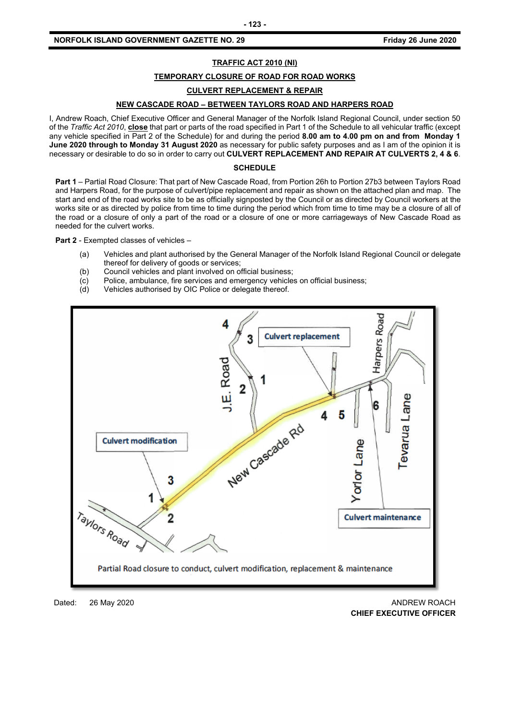#### **NORFOLK ISLAND GOVERNMENT GAZETTE NO. 29 FRIDAY 19 TO 20 TO 20 TO 2020 Friday 26 June 2020**

#### **TRAFFIC ACT 2010 (NI)**

#### **TEMPORARY CLOSURE OF ROAD FOR ROAD WORKS**

#### **CULVERT REPLACEMENT & REPAIR**

# **NEW CASCADE ROAD – BETWEEN TAYLORS ROAD AND HARPERS ROAD**

I, Andrew Roach, Chief Executive Officer and General Manager of the Norfolk Island Regional Council, under section 50 of the *Traffic Act 2010*, **close** that part or parts of the road specified in Part 1 of the Schedule to all vehicular traffic (except any vehicle specified in Part 2 of the Schedule) for and during the period **8.00 am to 4.00 pm on and from Monday 1 June 2020 through to Monday 31 August 2020** as necessary for public safety purposes and as I am of the opinion it is necessary or desirable to do so in order to carry out **CULVERT REPLACEMENT AND REPAIR AT CULVERTS 2, 4 & 6**.

#### **SCHEDULE**

**Part 1** – Partial Road Closure: That part of New Cascade Road, from Portion 26h to Portion 27b3 between Taylors Road and Harpers Road, for the purpose of culvert/pipe replacement and repair as shown on the attached plan and map. The start and end of the road works site to be as officially signposted by the Council or as directed by Council workers at the works site or as directed by police from time to time during the period which from time to time may be a closure of all of the road or a closure of only a part of the road or a closure of one or more carriageways of New Cascade Road as needed for the culvert works.

**Part 2** - Exempted classes of vehicles –

- (a) Vehicles and plant authorised by the General Manager of the Norfolk Island Regional Council or delegate thereof for delivery of goods or services;
- (b) Council vehicles and plant involved on official business;
- (c) Police, ambulance, fire services and emergency vehicles on official business;<br>(d) Vehicles authorised by OIC Police or delegate thereof.
- Vehicles authorised by OIC Police or delegate thereof.



Dated: 26 May 2020 ANDREW ROACH **CHIEF EXECUTIVE OFFICER**